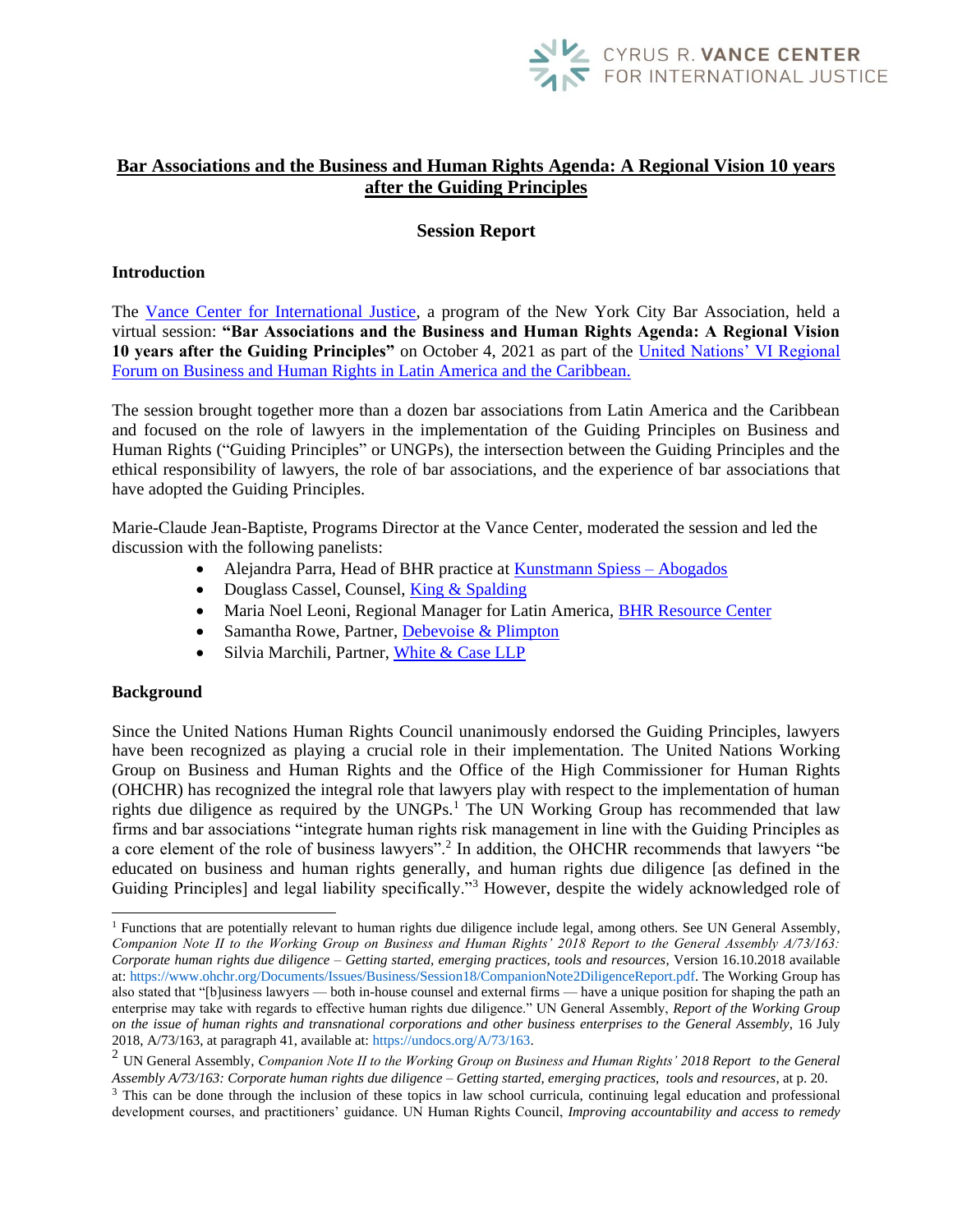

# **Bar Associations and the Business and Human Rights Agenda: A Regional Vision 10 years after the Guiding Principles**

## **Session Report**

## **Introduction**

The [Vance Center for International Justice,](https://www.vancecenter.org/) a program of the New York City Bar Association, held a virtual session: **"Bar Associations and the Business and Human Rights Agenda: A Regional Vision 10 years after the Guiding Principles"** on October 4, 2021 as part of the [United Nations' VI Regional](https://vifororegional.empresasyderechoshumanos.org/programa/)  [Forum on Business and Human Rights in Latin America and the Caribbean.](https://vifororegional.empresasyderechoshumanos.org/programa/)

The session brought together more than a dozen bar associations from Latin America and the Caribbean and focused on the role of lawyers in the implementation of the Guiding Principles on Business and Human Rights ("Guiding Principles" or UNGPs), the intersection between the Guiding Principles and the ethical responsibility of lawyers, the role of bar associations, and the experience of bar associations that have adopted the Guiding Principles.

Marie-Claude Jean-Baptiste, Programs Director at the Vance Center, moderated the session and led the discussion with the following panelists:

- Alejandra Parra, Head of BHR practice at [Kunstmann Spiess –](http://kunstmannspiess.cl/) Abogados
- Douglass Cassel, Counsel, [King & Spalding](https://www.kslaw.com/people/douglass-cassel)
- Maria Noel Leoni, Regional Manager for Latin America, [BHR Resource Center](https://www.business-humanrights.org/en/about-us/meet-the-team/)
- Samantha Rowe, Partner, [Debevoise & Plimpton](https://www.debevoise.com/samantharowe?tab=overview)
- Silvia Marchili, Partner, [White & Case LLP](https://www.whitecase.com/people/silvia-marchili)

#### **Background**

 $\overline{a}$ 

Since the United Nations Human Rights Council unanimously endorsed the Guiding Principles, lawyers have been recognized as playing a crucial role in their implementation. The United Nations Working Group on Business and Human Rights and the Office of the High Commissioner for Human Rights (OHCHR) has recognized the integral role that lawyers play with respect to the implementation of human rights due diligence as required by the UNGPs.<sup>1</sup> The UN Working Group has recommended that law firms and bar associations "integrate human rights risk management in line with the Guiding Principles as a core element of the role of business lawyers".<sup>2</sup> In addition, the OHCHR recommends that lawyers "be educated on business and human rights generally, and human rights due diligence [as defined in the Guiding Principles] and legal liability specifically."<sup>3</sup> However, despite the widely acknowledged role of

 $<sup>1</sup>$  Functions that are potentially relevant to human rights due diligence include legal, among others. See UN General Assembly,</sup> *Companion Note II to the Working Group on Business and Human Rights' 2018 Report to the General Assembly A/73/163: Corporate human rights due diligence – Getting started, emerging practices, tools and resources*, Version 16.10.2018 available at: https://www.ohchr.org/Documents/Issues/Business/Session18/CompanionNote2DiligenceReport.pdf. The Working Group has also stated that "[b]usiness lawyers — both in-house counsel and external firms — have a unique position for shaping the path an enterprise may take with regards to effective human rights due diligence." UN General Assembly, *Report of the Working Group on the issue of human rights and transnational corporations and other business enterprises to the General Assembly*, 16 July 2018, A/73/163, at paragraph 41, available at: https://undocs.org/A/73/163.

<sup>2</sup> UN General Assembly, *Companion Note II to the Working Group on Business and Human Rights' 2018 Report to the General Assembly A/73/163: Corporate human rights due diligence – Getting started, emerging practices, tools and resources*, at p. 20.

<sup>&</sup>lt;sup>3</sup> This can be done through the inclusion of these topics in law school curricula, continuing legal education and professional development courses, and practitioners' guidance. UN Human Rights Council, *Improving accountability and access to remedy*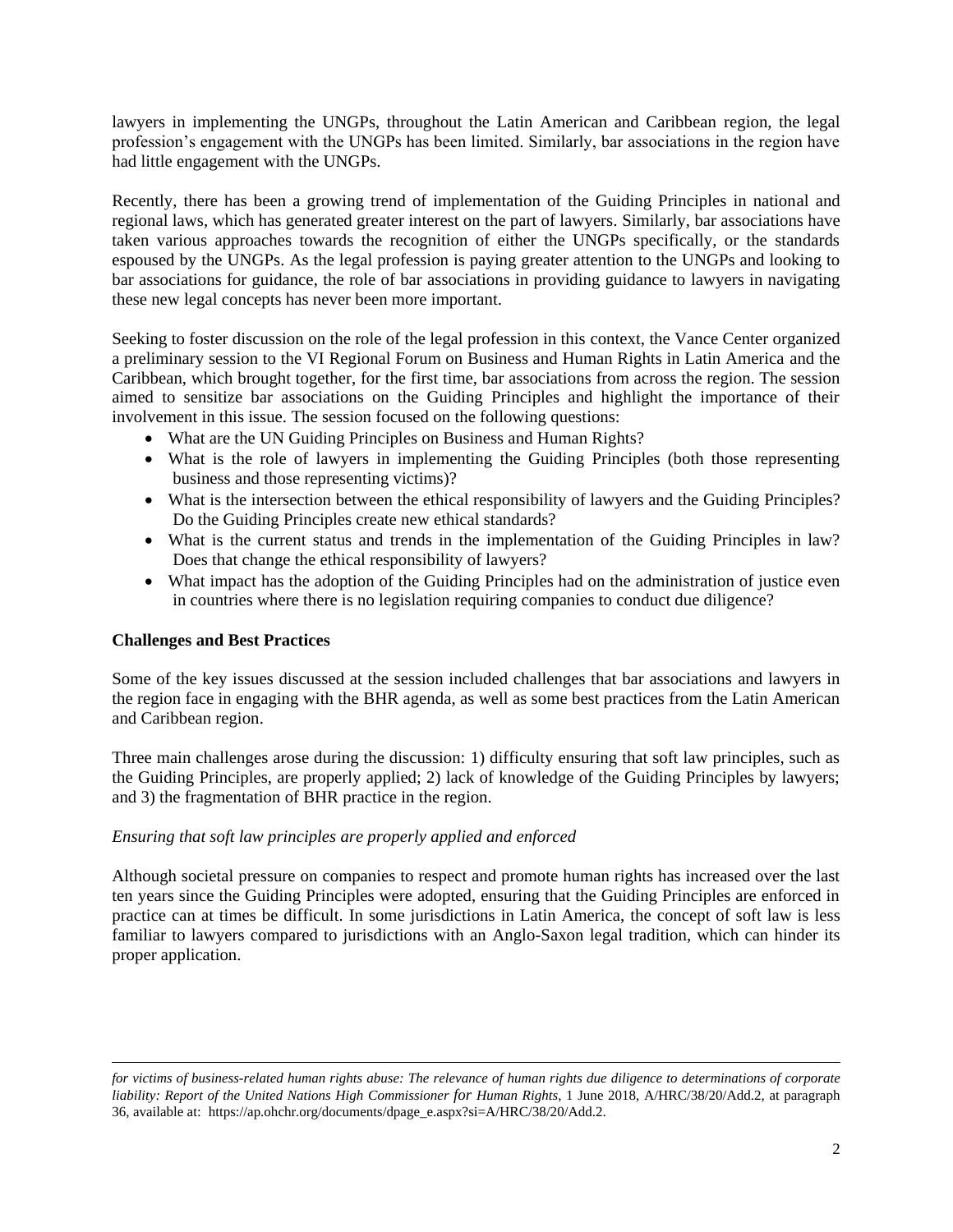lawyers in implementing the UNGPs, throughout the Latin American and Caribbean region, the legal profession's engagement with the UNGPs has been limited. Similarly, bar associations in the region have had little engagement with the UNGPs.

Recently, there has been a growing trend of implementation of the Guiding Principles in national and regional laws, which has generated greater interest on the part of lawyers. Similarly, bar associations have taken various approaches towards the recognition of either the UNGPs specifically, or the standards espoused by the UNGPs. As the legal profession is paying greater attention to the UNGPs and looking to bar associations for guidance, the role of bar associations in providing guidance to lawyers in navigating these new legal concepts has never been more important.

Seeking to foster discussion on the role of the legal profession in this context, the Vance Center organized a preliminary session to the VI Regional Forum on Business and Human Rights in Latin America and the Caribbean, which brought together, for the first time, bar associations from across the region. The session aimed to sensitize bar associations on the Guiding Principles and highlight the importance of their involvement in this issue. The session focused on the following questions:

- What are the UN Guiding Principles on Business and Human Rights?
- What is the role of lawyers in implementing the Guiding Principles (both those representing business and those representing victims)?
- What is the intersection between the ethical responsibility of lawyers and the Guiding Principles? Do the Guiding Principles create new ethical standards?
- What is the current status and trends in the implementation of the Guiding Principles in law? Does that change the ethical responsibility of lawyers?
- What impact has the adoption of the Guiding Principles had on the administration of justice even in countries where there is no legislation requiring companies to conduct due diligence?

## **Challenges and Best Practices**

 $\overline{a}$ 

Some of the key issues discussed at the session included challenges that bar associations and lawyers in the region face in engaging with the BHR agenda, as well as some best practices from the Latin American and Caribbean region.

Three main challenges arose during the discussion: 1) difficulty ensuring that soft law principles, such as the Guiding Principles, are properly applied; 2) lack of knowledge of the Guiding Principles by lawyers; and 3) the fragmentation of BHR practice in the region.

## *Ensuring that soft law principles are properly applied and enforced*

Although societal pressure on companies to respect and promote human rights has increased over the last ten years since the Guiding Principles were adopted, ensuring that the Guiding Principles are enforced in practice can at times be difficult. In some jurisdictions in Latin America, the concept of soft law is less familiar to lawyers compared to jurisdictions with an Anglo-Saxon legal tradition, which can hinder its proper application.

*for victims of business-related human rights abuse: The relevance of human rights due diligence to determinations of corporate liability: Report of the United Nations High Commissioner for Human Rights*, 1 June 2018, A/HRC/38/20/Add.2, at paragraph 36, available at: https://ap.ohchr.org/documents/dpage\_e.aspx?si=A/HRC/38/20/Add.2.